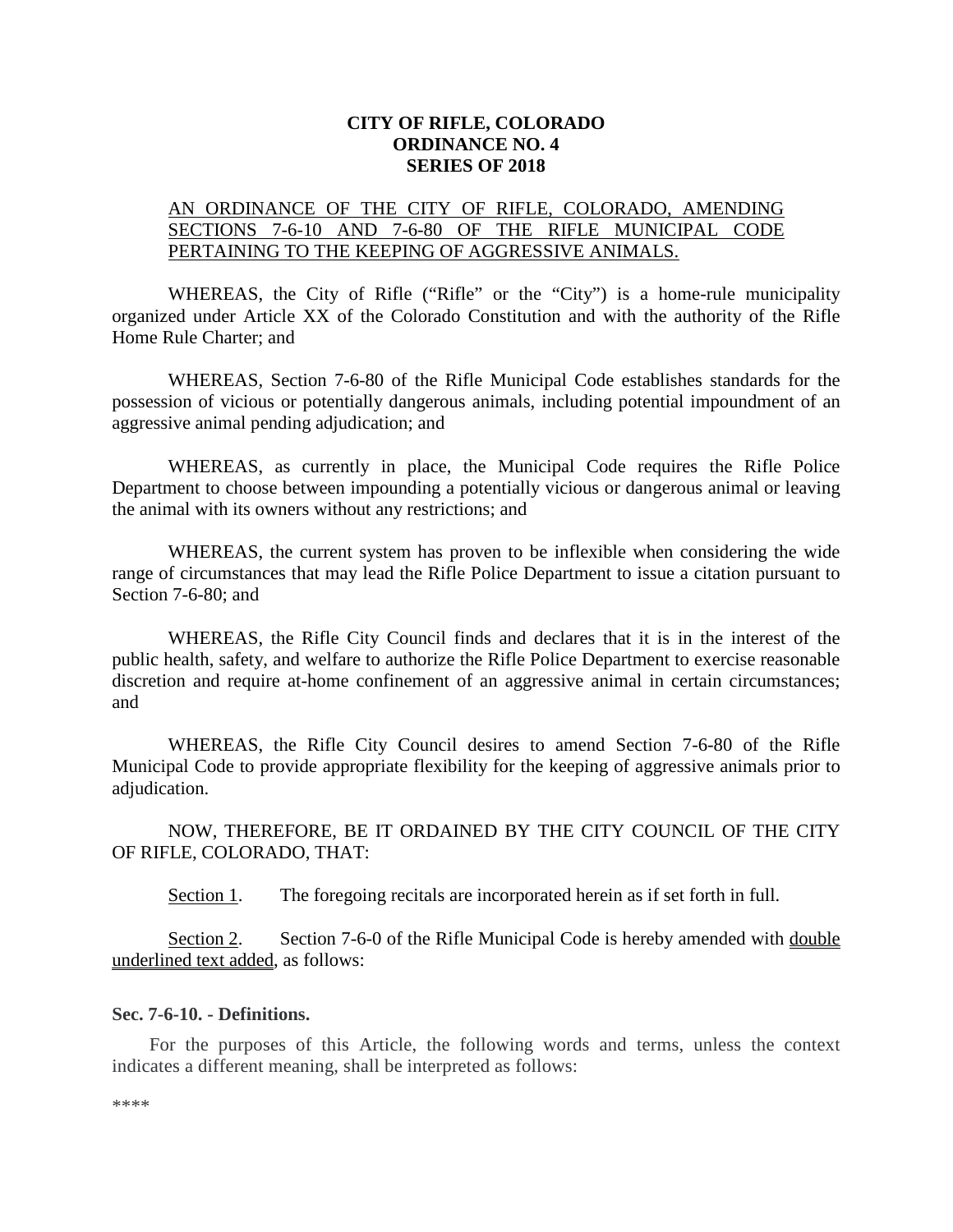## **CITY OF RIFLE, COLORADO ORDINANCE NO. 4 SERIES OF 2018**

## AN ORDINANCE OF THE CITY OF RIFLE, COLORADO, AMENDING SECTIONS 7-6-10 AND 7-6-80 OF THE RIFLE MUNICIPAL CODE PERTAINING TO THE KEEPING OF AGGRESSIVE ANIMALS.

WHEREAS, the City of Rifle ("Rifle" or the "City") is a home-rule municipality organized under Article XX of the Colorado Constitution and with the authority of the Rifle Home Rule Charter; and

WHEREAS, Section 7-6-80 of the Rifle Municipal Code establishes standards for the possession of vicious or potentially dangerous animals, including potential impoundment of an aggressive animal pending adjudication; and

WHEREAS, as currently in place, the Municipal Code requires the Rifle Police Department to choose between impounding a potentially vicious or dangerous animal or leaving the animal with its owners without any restrictions; and

WHEREAS, the current system has proven to be inflexible when considering the wide range of circumstances that may lead the Rifle Police Department to issue a citation pursuant to Section 7-6-80; and

WHEREAS, the Rifle City Council finds and declares that it is in the interest of the public health, safety, and welfare to authorize the Rifle Police Department to exercise reasonable discretion and require at-home confinement of an aggressive animal in certain circumstances; and

WHEREAS, the Rifle City Council desires to amend Section 7-6-80 of the Rifle Municipal Code to provide appropriate flexibility for the keeping of aggressive animals prior to adjudication.

NOW, THEREFORE, BE IT ORDAINED BY THE CITY COUNCIL OF THE CITY OF RIFLE, COLORADO, THAT:

Section 1. The foregoing recitals are incorporated herein as if set forth in full.

Section 2. Section 7-6-0 of the Rifle Municipal Code is hereby amended with <u>double</u> underlined text added, as follows:

## **Sec. 7-6-10. - Definitions.**

For the purposes of this Article, the following words and terms, unless the context indicates a different meaning, shall be interpreted as follows:

\*\*\*\*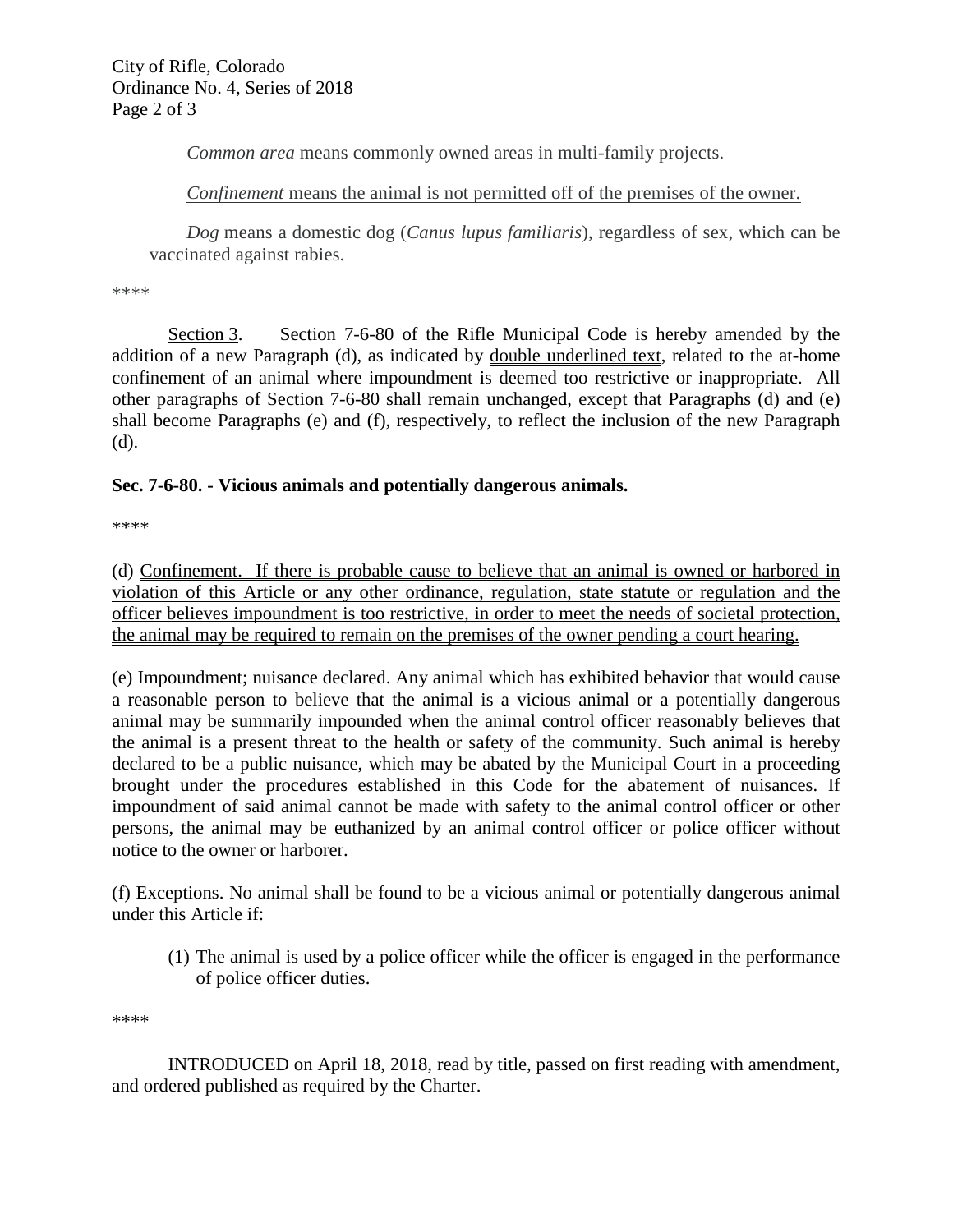*Common area* means commonly owned areas in multi-family projects.

*Confinement* means the animal is not permitted off of the premises of the owner.

*Dog* means a domestic dog (*Canus lupus familiaris*), regardless of sex, which can be vaccinated against rabies.

\*\*\*\*

Section 3. Section 7-6-80 of the Rifle Municipal Code is hereby amended by the addition of a new Paragraph (d), as indicated by double underlined text, related to the at-home confinement of an animal where impoundment is deemed too restrictive or inappropriate. All other paragraphs of Section 7-6-80 shall remain unchanged, except that Paragraphs (d) and (e) shall become Paragraphs (e) and (f), respectively, to reflect the inclusion of the new Paragraph (d).

## **Sec. 7-6-80. - Vicious animals and potentially dangerous animals.**

\*\*\*\*

(d) Confinement. If there is probable cause to believe that an animal is owned or harbored in violation of this Article or any other ordinance, regulation, state statute or regulation and the officer believes impoundment is too restrictive, in order to meet the needs of societal protection, the animal may be required to remain on the premises of the owner pending a court hearing.

(e) Impoundment; nuisance declared. Any animal which has exhibited behavior that would cause a reasonable person to believe that the animal is a vicious animal or a potentially dangerous animal may be summarily impounded when the animal control officer reasonably believes that the animal is a present threat to the health or safety of the community. Such animal is hereby declared to be a public nuisance, which may be abated by the Municipal Court in a proceeding brought under the procedures established in this Code for the abatement of nuisances. If impoundment of said animal cannot be made with safety to the animal control officer or other persons, the animal may be euthanized by an animal control officer or police officer without notice to the owner or harborer.

(f) Exceptions. No animal shall be found to be a vicious animal or potentially dangerous animal under this Article if:

(1) The animal is used by a police officer while the officer is engaged in the performance of police officer duties.

\*\*\*\*

INTRODUCED on April 18, 2018, read by title, passed on first reading with amendment, and ordered published as required by the Charter.